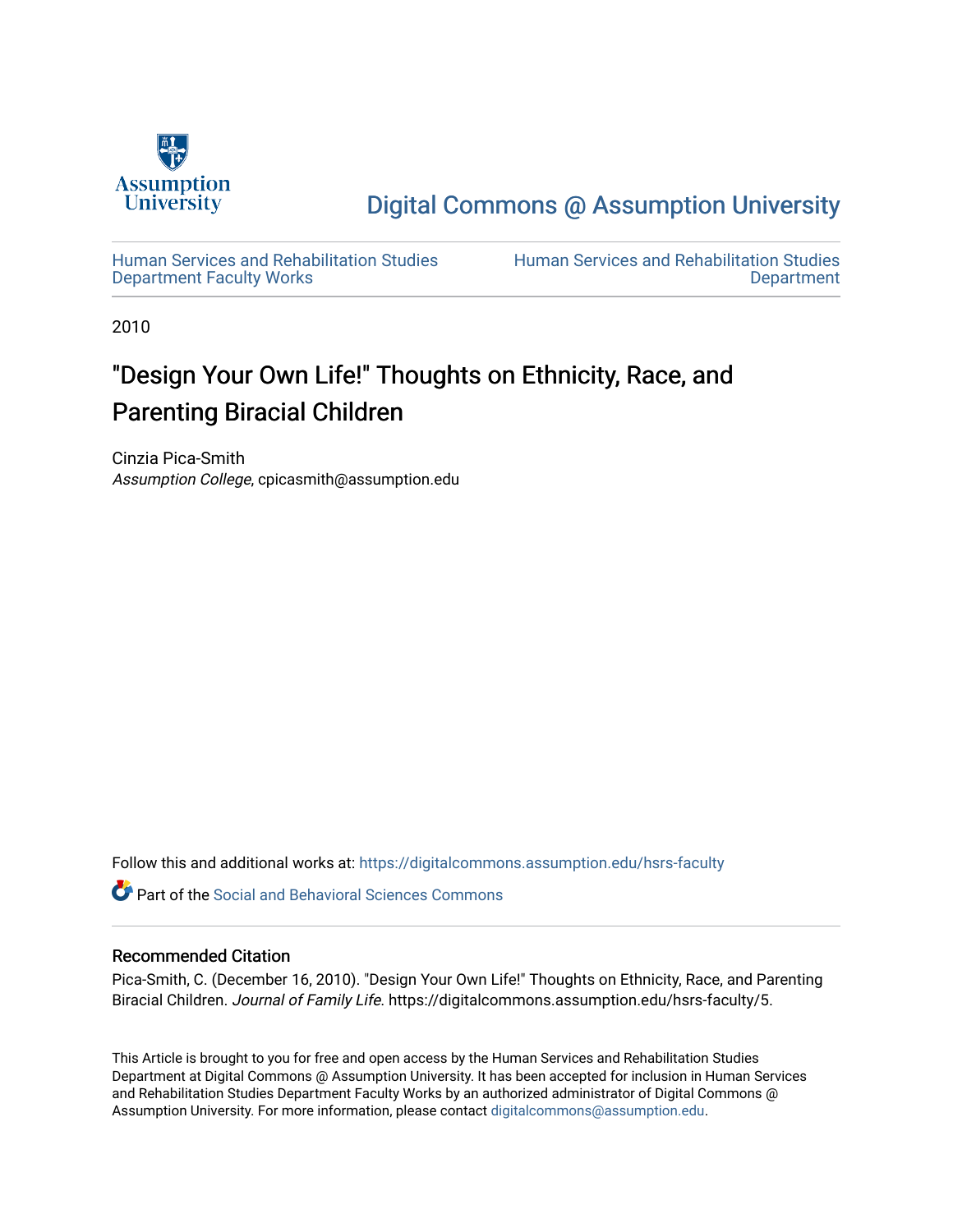

## [Digital Commons @ Assumption University](https://digitalcommons.assumption.edu/)

[Human Services and Rehabilitation Studies](https://digitalcommons.assumption.edu/hsrs-faculty)  [Department Faculty Works](https://digitalcommons.assumption.edu/hsrs-faculty)

[Human Services and Rehabilitation Studies](https://digitalcommons.assumption.edu/hsrs)  [Department](https://digitalcommons.assumption.edu/hsrs) 

2010

# "Design Your Own Life!" Thoughts on Ethnicity, Race, and Parenting Biracial Children

Cinzia Pica-Smith Assumption College, cpicasmith@assumption.edu

Follow this and additional works at: [https://digitalcommons.assumption.edu/hsrs-faculty](https://digitalcommons.assumption.edu/hsrs-faculty?utm_source=digitalcommons.assumption.edu%2Fhsrs-faculty%2F5&utm_medium=PDF&utm_campaign=PDFCoverPages) 

**P** Part of the Social and Behavioral Sciences Commons

#### Recommended Citation

Pica-Smith, C. (December 16, 2010). "Design Your Own Life!" Thoughts on Ethnicity, Race, and Parenting Biracial Children. Journal of Family Life. https://digitalcommons.assumption.edu/hsrs-faculty/5.

This Article is brought to you for free and open access by the Human Services and Rehabilitation Studies Department at Digital Commons @ Assumption University. It has been accepted for inclusion in Human Services and Rehabilitation Studies Department Faculty Works by an authorized administrator of Digital Commons @ Assumption University. For more information, please contact [digitalcommons@assumption.edu.](mailto:digitalcommons@assumption.edu)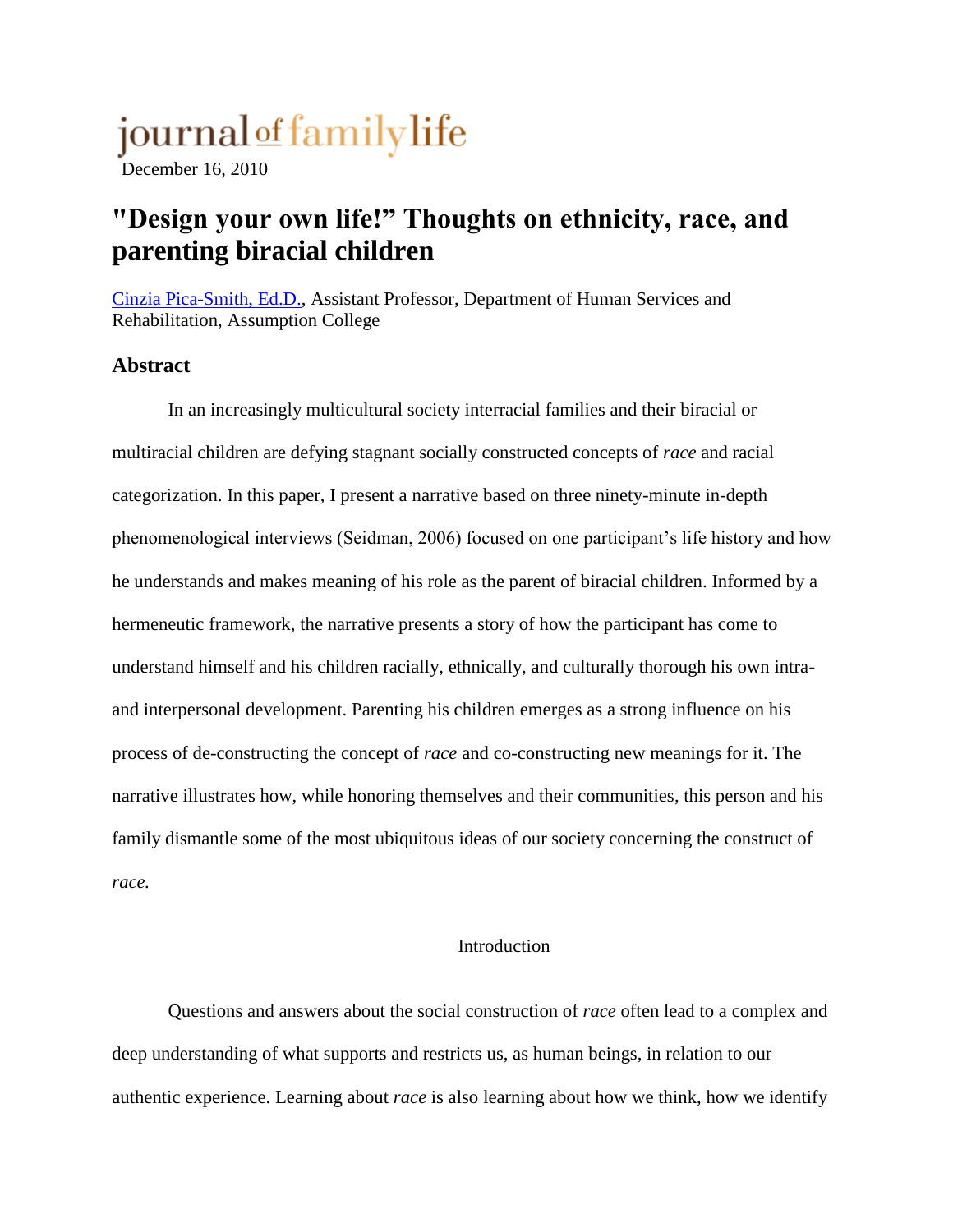# journal of family life

December 16, 2010

# **"Design your own life!" Thoughts on ethnicity, race, and parenting biracial children**

[Cinzia Pica-Smith, Ed.D.,](http://www.journaloffamilylife.org/node/592) Assistant Professor, Department of Human Services and Rehabilitation, Assumption College

## **Abstract**

In an increasingly multicultural society interracial families and their biracial or multiracial children are defying stagnant socially constructed concepts of *race* and racial categorization. In this paper, I present a narrative based on three ninety-minute in-depth phenomenological interviews (Seidman, 2006) focused on one participant's life history and how he understands and makes meaning of his role as the parent of biracial children. Informed by a hermeneutic framework, the narrative presents a story of how the participant has come to understand himself and his children racially, ethnically, and culturally thorough his own intraand interpersonal development. Parenting his children emerges as a strong influence on his process of de-constructing the concept of *race* and co-constructing new meanings for it. The narrative illustrates how, while honoring themselves and their communities, this person and his family dismantle some of the most ubiquitous ideas of our society concerning the construct of *race.*

## Introduction

Questions and answers about the social construction of *race* often lead to a complex and deep understanding of what supports and restricts us, as human beings, in relation to our authentic experience. Learning about *race* is also learning about how we think, how we identify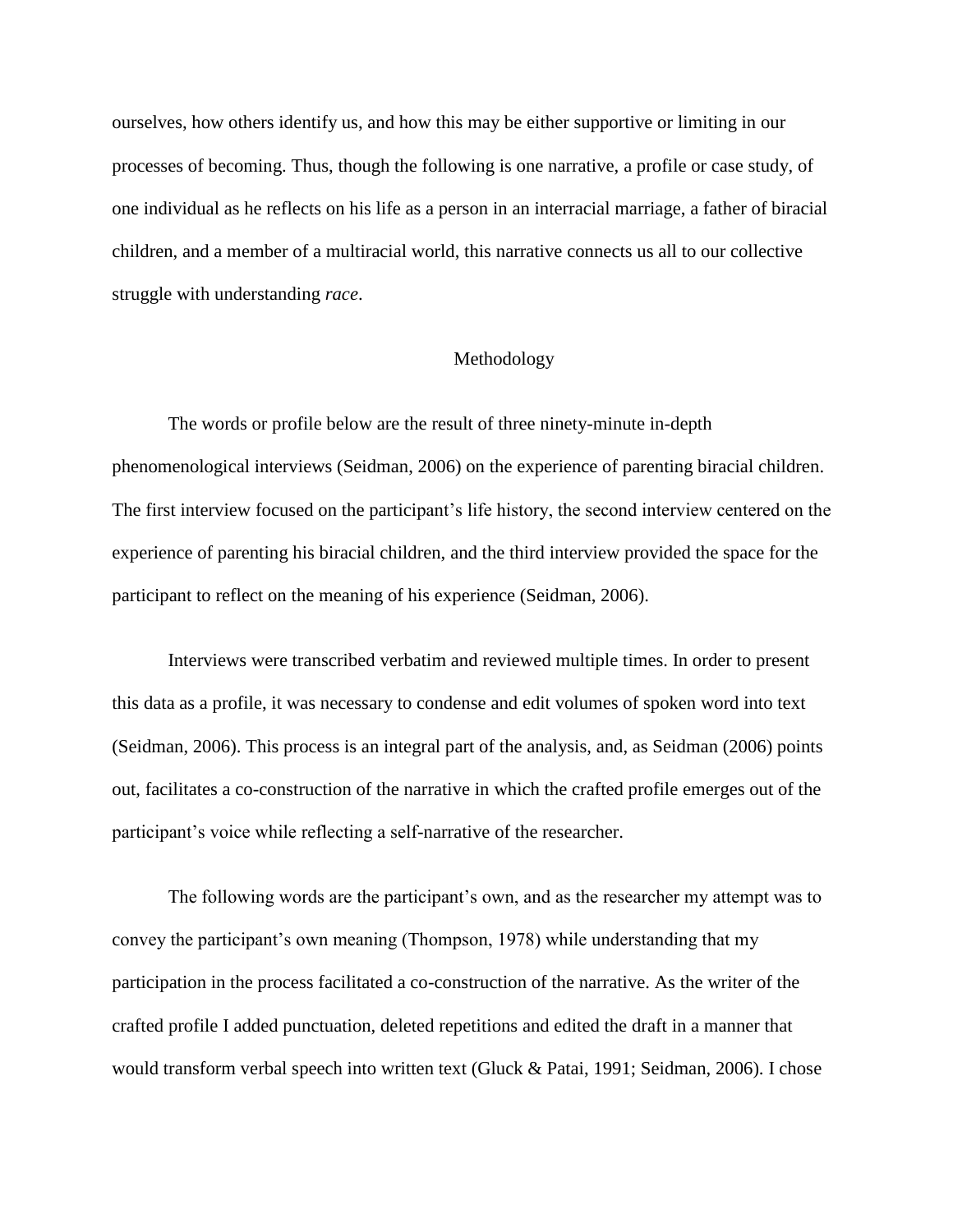ourselves, how others identify us, and how this may be either supportive or limiting in our processes of becoming. Thus, though the following is one narrative, a profile or case study, of one individual as he reflects on his life as a person in an interracial marriage, a father of biracial children, and a member of a multiracial world, this narrative connects us all to our collective struggle with understanding *race*.

#### Methodology

The words or profile below are the result of three ninety-minute in-depth phenomenological interviews (Seidman, 2006) on the experience of parenting biracial children. The first interview focused on the participant's life history, the second interview centered on the experience of parenting his biracial children, and the third interview provided the space for the participant to reflect on the meaning of his experience (Seidman, 2006).

Interviews were transcribed verbatim and reviewed multiple times. In order to present this data as a profile, it was necessary to condense and edit volumes of spoken word into text (Seidman, 2006). This process is an integral part of the analysis, and, as Seidman (2006) points out, facilitates a co-construction of the narrative in which the crafted profile emerges out of the participant's voice while reflecting a self-narrative of the researcher.

The following words are the participant's own, and as the researcher my attempt was to convey the participant's own meaning (Thompson, 1978) while understanding that my participation in the process facilitated a co-construction of the narrative. As the writer of the crafted profile I added punctuation, deleted repetitions and edited the draft in a manner that would transform verbal speech into written text (Gluck & Patai, 1991; Seidman, 2006). I chose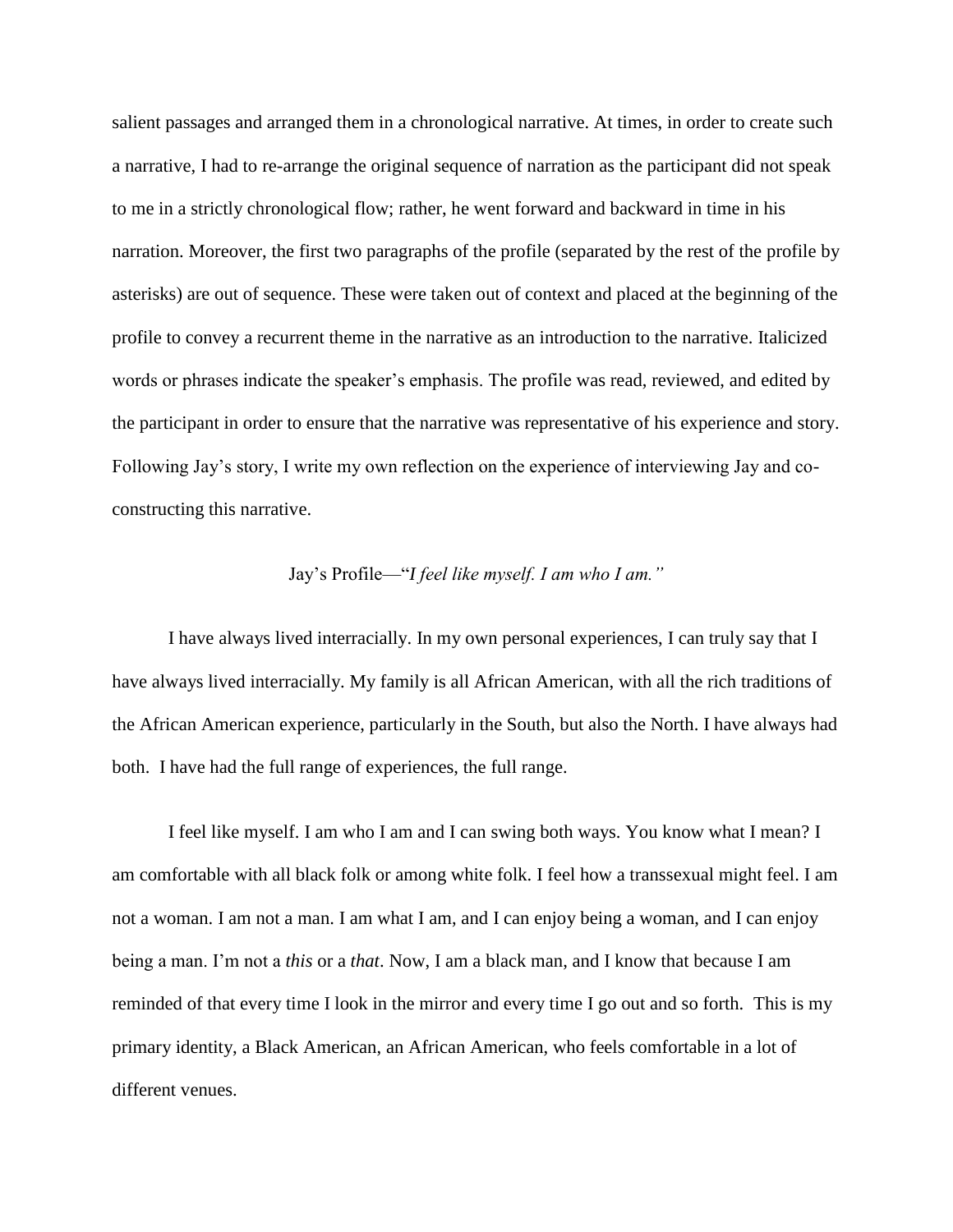salient passages and arranged them in a chronological narrative. At times, in order to create such a narrative, I had to re-arrange the original sequence of narration as the participant did not speak to me in a strictly chronological flow; rather, he went forward and backward in time in his narration. Moreover, the first two paragraphs of the profile (separated by the rest of the profile by asterisks) are out of sequence. These were taken out of context and placed at the beginning of the profile to convey a recurrent theme in the narrative as an introduction to the narrative. Italicized words or phrases indicate the speaker's emphasis. The profile was read, reviewed, and edited by the participant in order to ensure that the narrative was representative of his experience and story. Following Jay's story, I write my own reflection on the experience of interviewing Jay and coconstructing this narrative.

## Jay's Profile—"*I feel like myself. I am who I am."*

I have always lived interracially. In my own personal experiences, I can truly say that I have always lived interracially. My family is all African American, with all the rich traditions of the African American experience, particularly in the South, but also the North. I have always had both. I have had the full range of experiences, the full range.

 I feel like myself. I am who I am and I can swing both ways. You know what I mean? I am comfortable with all black folk or among white folk. I feel how a transsexual might feel. I am not a woman. I am not a man. I am what I am, and I can enjoy being a woman, and I can enjoy being a man. I'm not a *this* or a *that*. Now, I am a black man, and I know that because I am reminded of that every time I look in the mirror and every time I go out and so forth. This is my primary identity, a Black American, an African American, who feels comfortable in a lot of different venues.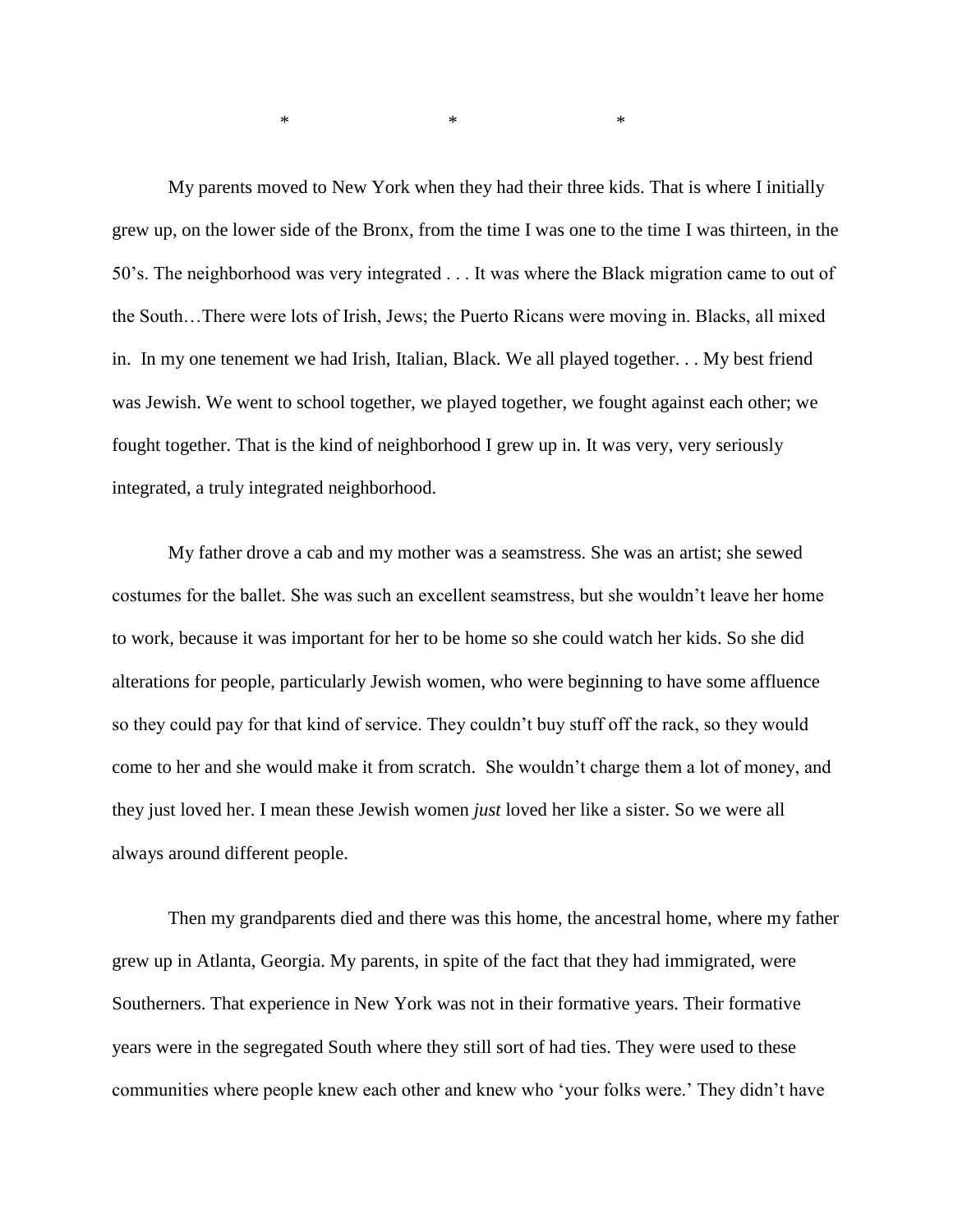My parents moved to New York when they had their three kids. That is where I initially grew up, on the lower side of the Bronx, from the time I was one to the time I was thirteen, in the 50's. The neighborhood was very integrated . . . It was where the Black migration came to out of the South…There were lots of Irish, Jews; the Puerto Ricans were moving in. Blacks, all mixed in. In my one tenement we had Irish, Italian, Black. We all played together. . . My best friend was Jewish. We went to school together, we played together, we fought against each other; we fought together. That is the kind of neighborhood I grew up in. It was very, very seriously integrated, a truly integrated neighborhood.

My father drove a cab and my mother was a seamstress. She was an artist; she sewed costumes for the ballet. She was such an excellent seamstress, but she wouldn't leave her home to work, because it was important for her to be home so she could watch her kids. So she did alterations for people, particularly Jewish women, who were beginning to have some affluence so they could pay for that kind of service. They couldn't buy stuff off the rack, so they would come to her and she would make it from scratch. She wouldn't charge them a lot of money, and they just loved her. I mean these Jewish women *just* loved her like a sister. So we were all always around different people.

Then my grandparents died and there was this home, the ancestral home, where my father grew up in Atlanta, Georgia. My parents, in spite of the fact that they had immigrated, were Southerners. That experience in New York was not in their formative years. Their formative years were in the segregated South where they still sort of had ties. They were used to these communities where people knew each other and knew who 'your folks were.' They didn't have

 $*$  \* \* \* \*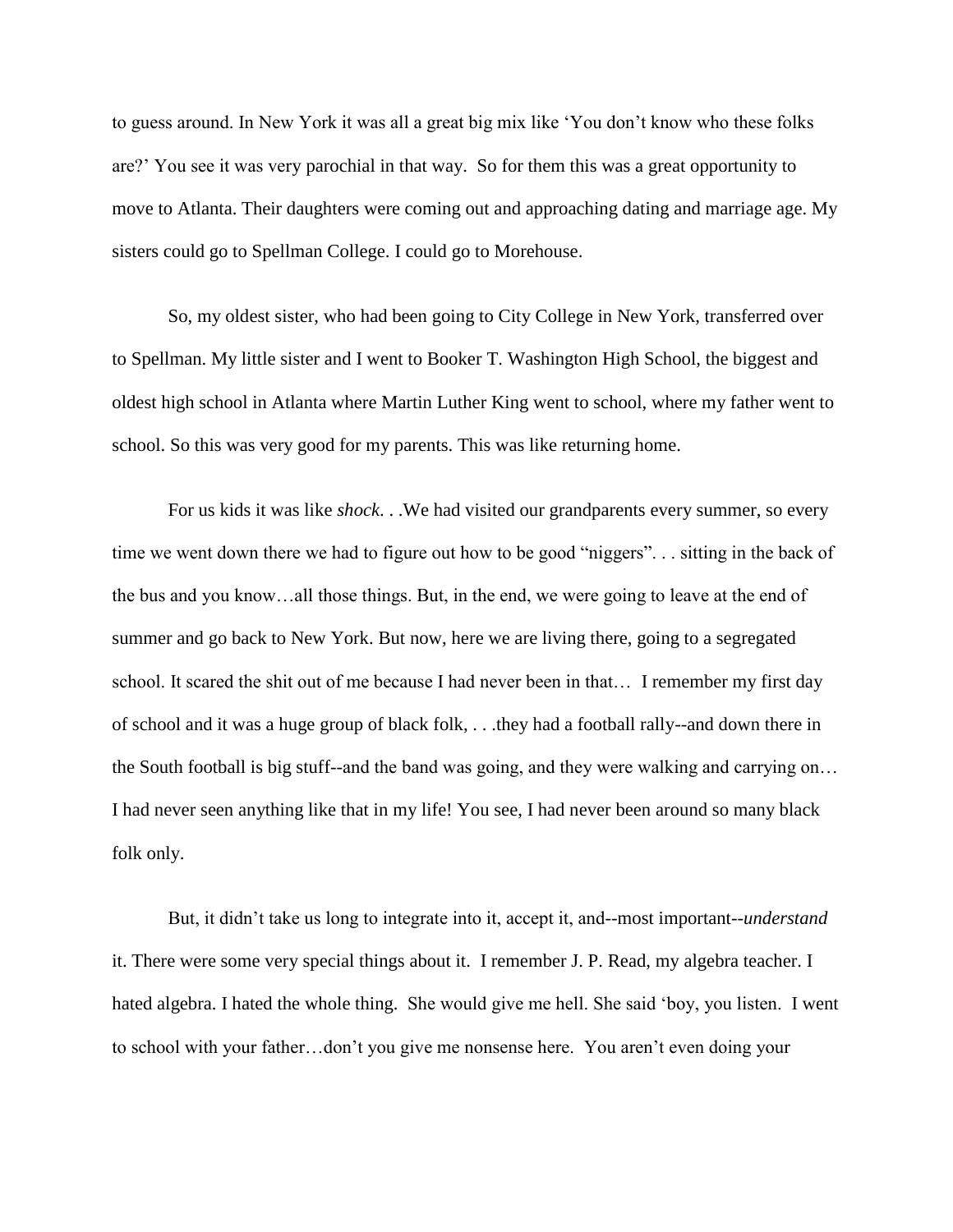to guess around. In New York it was all a great big mix like 'You don't know who these folks are?' You see it was very parochial in that way. So for them this was a great opportunity to move to Atlanta. Their daughters were coming out and approaching dating and marriage age. My sisters could go to Spellman College. I could go to Morehouse.

So, my oldest sister, who had been going to City College in New York, transferred over to Spellman. My little sister and I went to Booker T. Washington High School, the biggest and oldest high school in Atlanta where Martin Luther King went to school, where my father went to school. So this was very good for my parents. This was like returning home.

For us kids it was like *shock*. . .We had visited our grandparents every summer, so every time we went down there we had to figure out how to be good "niggers". . . sitting in the back of the bus and you know…all those things. But, in the end, we were going to leave at the end of summer and go back to New York. But now, here we are living there, going to a segregated school. It scared the shit out of me because I had never been in that… I remember my first day of school and it was a huge group of black folk, . . .they had a football rally--and down there in the South football is big stuff--and the band was going, and they were walking and carrying on… I had never seen anything like that in my life! You see, I had never been around so many black folk only.

But, it didn't take us long to integrate into it, accept it, and--most important--*understand*  it. There were some very special things about it. I remember J. P. Read, my algebra teacher. I hated algebra. I hated the whole thing. She would give me hell. She said 'boy, you listen. I went to school with your father…don't you give me nonsense here. You aren't even doing your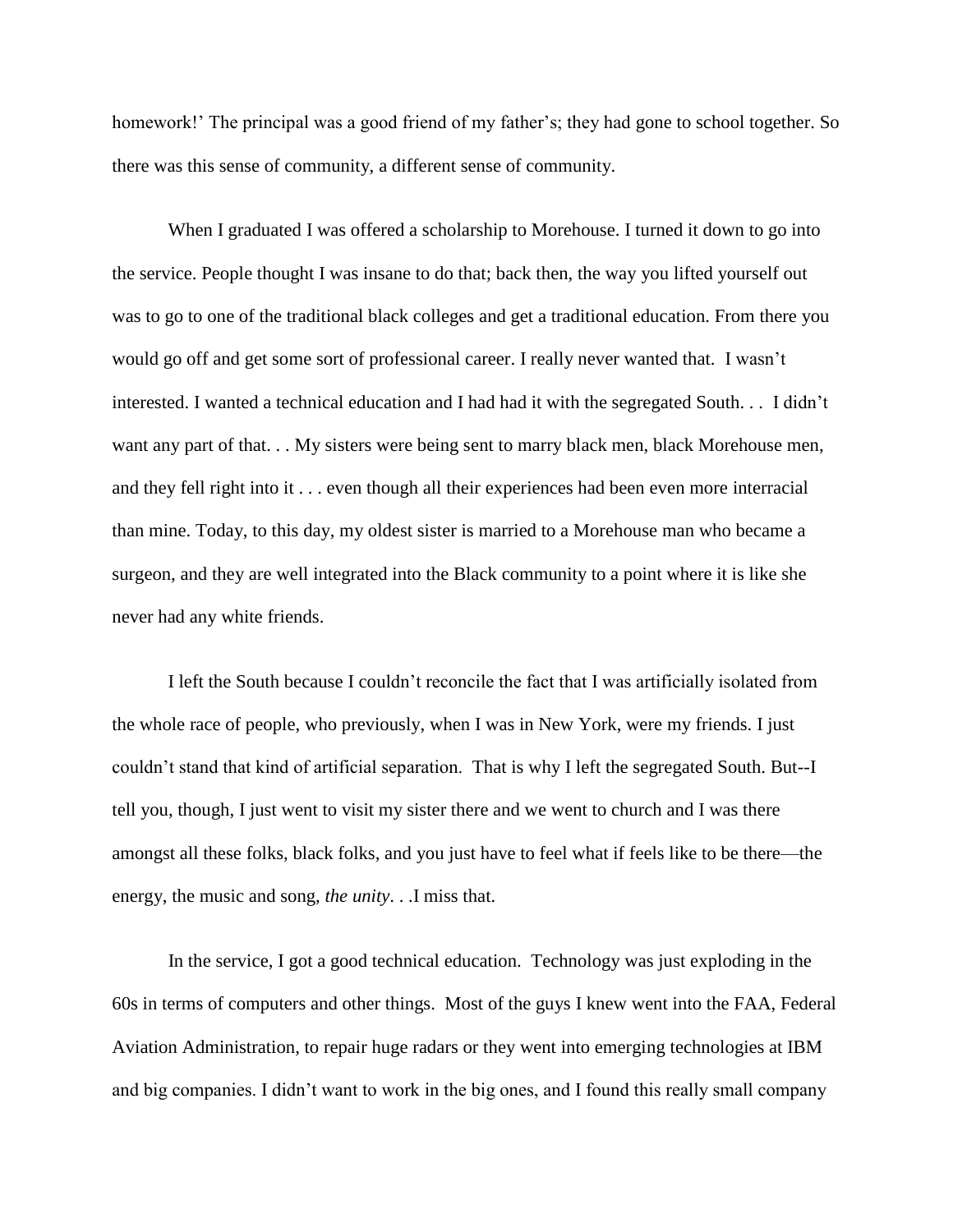homework!' The principal was a good friend of my father's; they had gone to school together. So there was this sense of community, a different sense of community.

 When I graduated I was offered a scholarship to Morehouse. I turned it down to go into the service. People thought I was insane to do that; back then, the way you lifted yourself out was to go to one of the traditional black colleges and get a traditional education. From there you would go off and get some sort of professional career. I really never wanted that. I wasn't interested. I wanted a technical education and I had had it with the segregated South. . . I didn't want any part of that. . . My sisters were being sent to marry black men, black Morehouse men, and they fell right into it . . . even though all their experiences had been even more interracial than mine. Today, to this day, my oldest sister is married to a Morehouse man who became a surgeon, and they are well integrated into the Black community to a point where it is like she never had any white friends.

I left the South because I couldn't reconcile the fact that I was artificially isolated from the whole race of people, who previously, when I was in New York, were my friends. I just couldn't stand that kind of artificial separation. That is why I left the segregated South. But--I tell you, though, I just went to visit my sister there and we went to church and I was there amongst all these folks, black folks, and you just have to feel what if feels like to be there—the energy, the music and song, *the unity*. . .I miss that.

 In the service, I got a good technical education. Technology was just exploding in the 60s in terms of computers and other things. Most of the guys I knew went into the FAA, Federal Aviation Administration, to repair huge radars or they went into emerging technologies at IBM and big companies. I didn't want to work in the big ones, and I found this really small company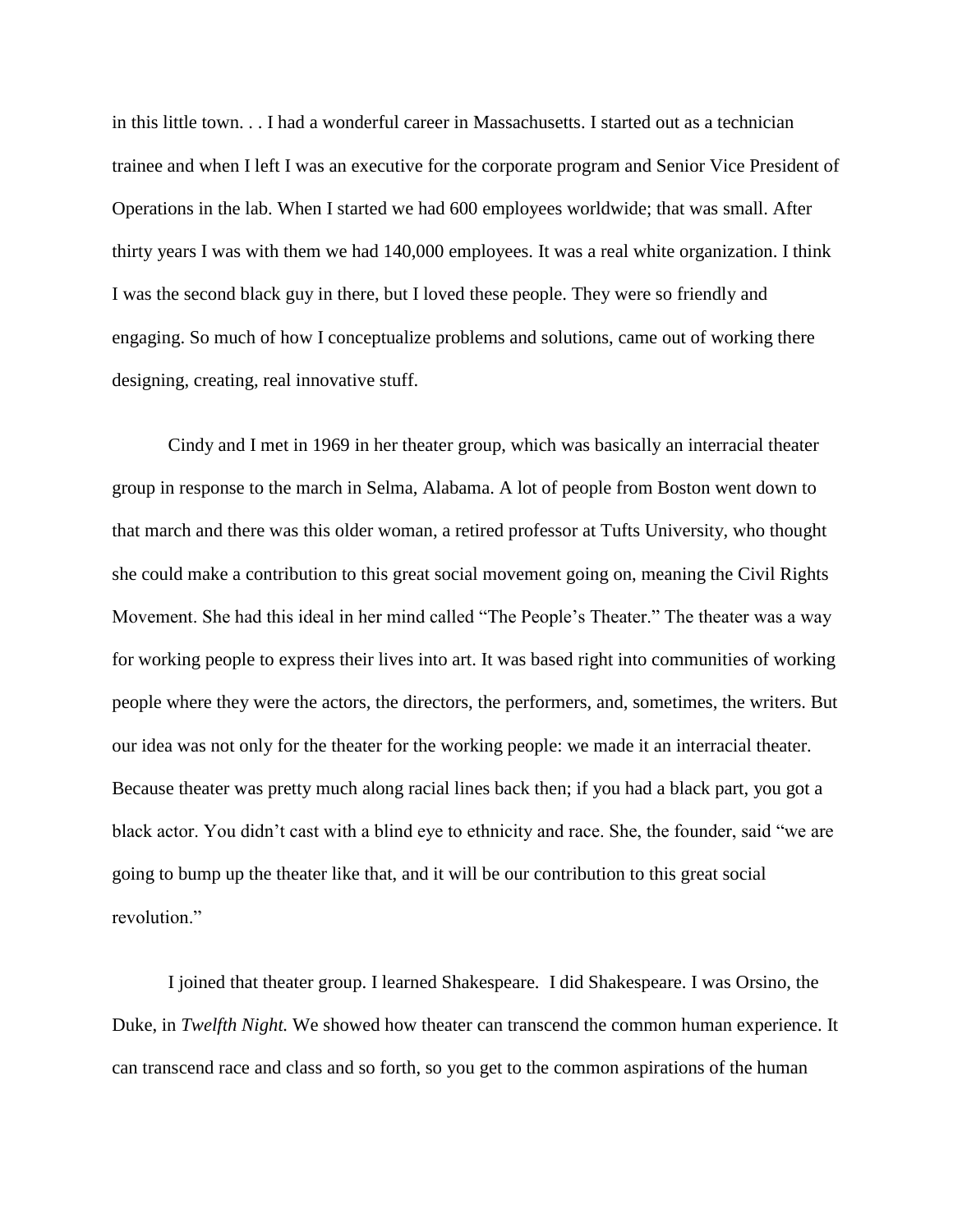in this little town. . . I had a wonderful career in Massachusetts. I started out as a technician trainee and when I left I was an executive for the corporate program and Senior Vice President of Operations in the lab. When I started we had 600 employees worldwide; that was small. After thirty years I was with them we had 140,000 employees. It was a real white organization. I think I was the second black guy in there, but I loved these people. They were so friendly and engaging. So much of how I conceptualize problems and solutions, came out of working there designing, creating, real innovative stuff.

Cindy and I met in 1969 in her theater group, which was basically an interracial theater group in response to the march in Selma, Alabama. A lot of people from Boston went down to that march and there was this older woman, a retired professor at Tufts University, who thought she could make a contribution to this great social movement going on, meaning the Civil Rights Movement. She had this ideal in her mind called "The People's Theater." The theater was a way for working people to express their lives into art. It was based right into communities of working people where they were the actors, the directors, the performers, and, sometimes, the writers. But our idea was not only for the theater for the working people: we made it an interracial theater. Because theater was pretty much along racial lines back then; if you had a black part, you got a black actor. You didn't cast with a blind eye to ethnicity and race. She, the founder, said "we are going to bump up the theater like that, and it will be our contribution to this great social revolution."

I joined that theater group. I learned Shakespeare. I did Shakespeare. I was Orsino, the Duke, in *Twelfth Night.* We showed how theater can transcend the common human experience. It can transcend race and class and so forth, so you get to the common aspirations of the human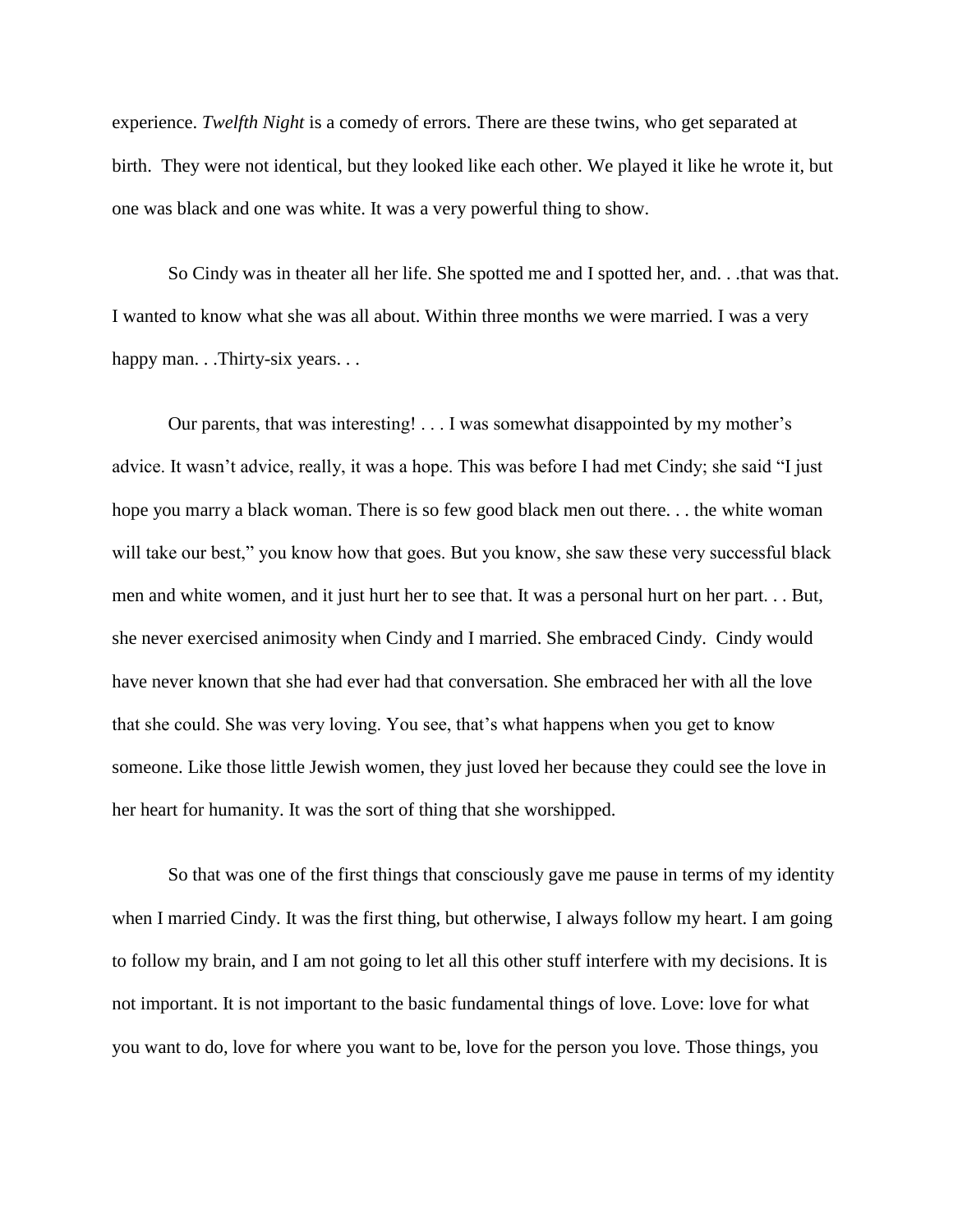experience. *Twelfth Night* is a comedy of errors. There are these twins, who get separated at birth. They were not identical, but they looked like each other. We played it like he wrote it, but one was black and one was white. It was a very powerful thing to show.

So Cindy was in theater all her life. She spotted me and I spotted her, and. . .that was that. I wanted to know what she was all about. Within three months we were married. I was a very happy man. . .Thirty-six years. . .

Our parents, that was interesting! . . . I was somewhat disappointed by my mother's advice. It wasn't advice, really, it was a hope. This was before I had met Cindy; she said "I just hope you marry a black woman. There is so few good black men out there. . . the white woman will take our best," you know how that goes. But you know, she saw these very successful black men and white women, and it just hurt her to see that. It was a personal hurt on her part. . . But, she never exercised animosity when Cindy and I married. She embraced Cindy. Cindy would have never known that she had ever had that conversation. She embraced her with all the love that she could. She was very loving. You see, that's what happens when you get to know someone. Like those little Jewish women, they just loved her because they could see the love in her heart for humanity. It was the sort of thing that she worshipped.

So that was one of the first things that consciously gave me pause in terms of my identity when I married Cindy. It was the first thing, but otherwise, I always follow my heart. I am going to follow my brain, and I am not going to let all this other stuff interfere with my decisions. It is not important. It is not important to the basic fundamental things of love. Love: love for what you want to do, love for where you want to be, love for the person you love. Those things, you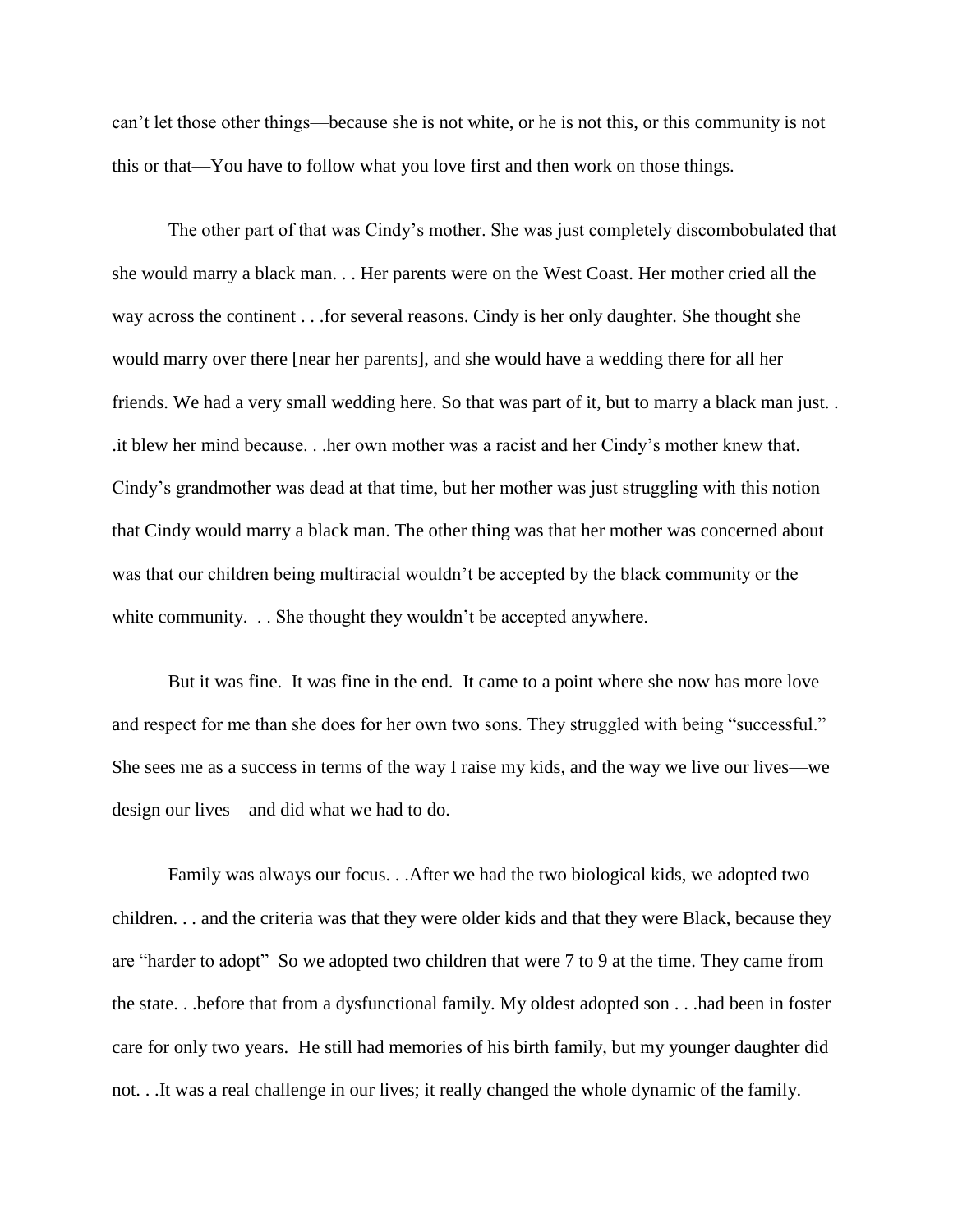can't let those other things—because she is not white, or he is not this, or this community is not this or that—You have to follow what you love first and then work on those things.

The other part of that was Cindy's mother. She was just completely discombobulated that she would marry a black man. . . Her parents were on the West Coast. Her mother cried all the way across the continent . . .for several reasons. Cindy is her only daughter. She thought she would marry over there [near her parents], and she would have a wedding there for all her friends. We had a very small wedding here. So that was part of it, but to marry a black man just. . .it blew her mind because. . .her own mother was a racist and her Cindy's mother knew that. Cindy's grandmother was dead at that time, but her mother was just struggling with this notion that Cindy would marry a black man. The other thing was that her mother was concerned about was that our children being multiracial wouldn't be accepted by the black community or the white community. . . She thought they wouldn't be accepted anywhere.

But it was fine. It was fine in the end. It came to a point where she now has more love and respect for me than she does for her own two sons. They struggled with being "successful." She sees me as a success in terms of the way I raise my kids, and the way we live our lives—we design our lives—and did what we had to do.

Family was always our focus. . .After we had the two biological kids, we adopted two children. . . and the criteria was that they were older kids and that they were Black, because they are "harder to adopt" So we adopted two children that were 7 to 9 at the time. They came from the state. . .before that from a dysfunctional family. My oldest adopted son . . .had been in foster care for only two years. He still had memories of his birth family, but my younger daughter did not. . .It was a real challenge in our lives; it really changed the whole dynamic of the family.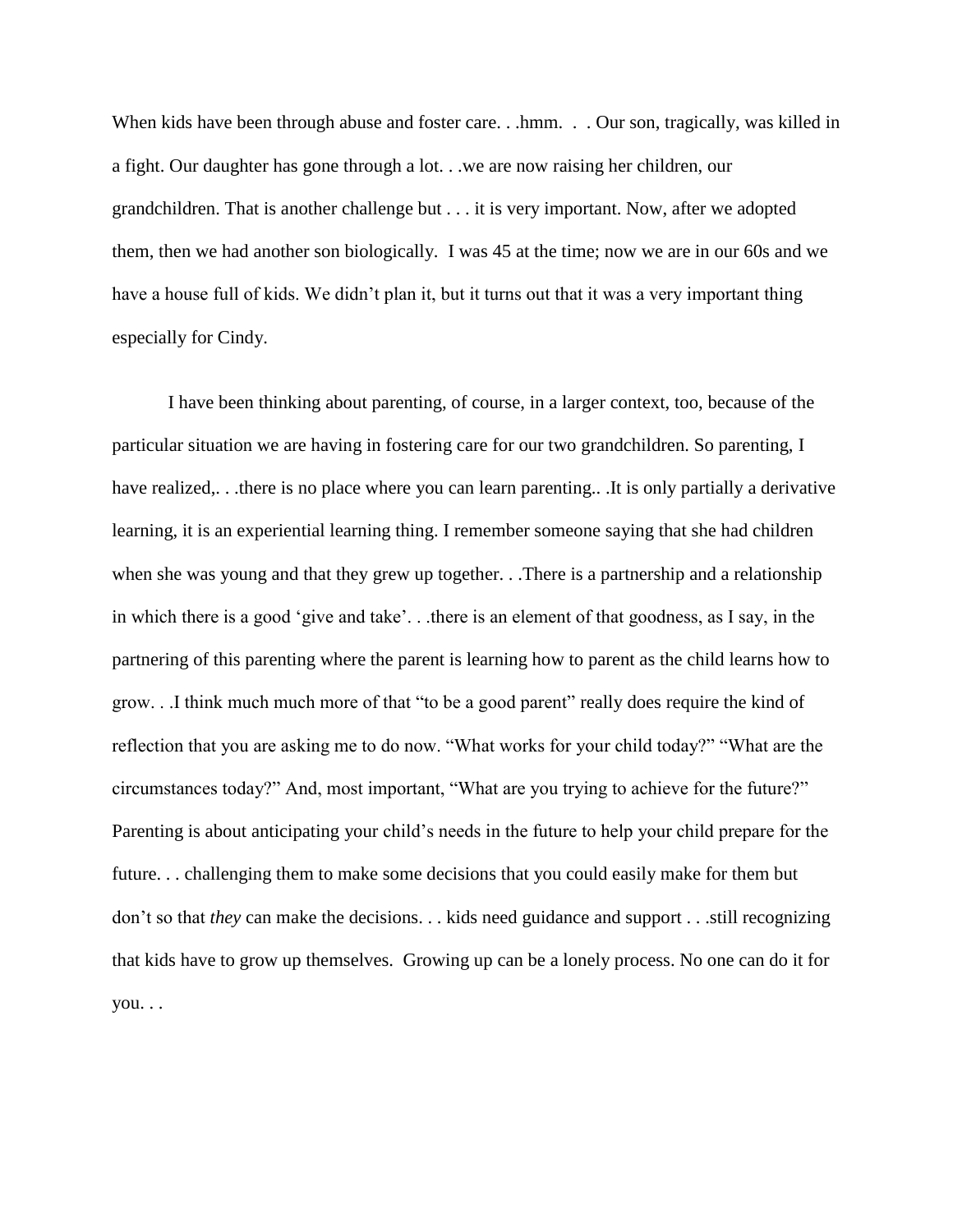When kids have been through abuse and foster care. . .hmm. . . Our son, tragically, was killed in a fight. Our daughter has gone through a lot. . .we are now raising her children, our grandchildren. That is another challenge but . . . it is very important. Now, after we adopted them, then we had another son biologically. I was 45 at the time; now we are in our 60s and we have a house full of kids. We didn't plan it, but it turns out that it was a very important thing especially for Cindy.

I have been thinking about parenting, of course, in a larger context, too, because of the particular situation we are having in fostering care for our two grandchildren. So parenting, I have realized,..there is no place where you can learn parenting... It is only partially a derivative learning, it is an experiential learning thing. I remember someone saying that she had children when she was young and that they grew up together. . .There is a partnership and a relationship in which there is a good 'give and take'. . .there is an element of that goodness, as I say, in the partnering of this parenting where the parent is learning how to parent as the child learns how to grow. . .I think much much more of that "to be a good parent" really does require the kind of reflection that you are asking me to do now. "What works for your child today?" "What are the circumstances today?" And, most important, "What are you trying to achieve for the future?" Parenting is about anticipating your child's needs in the future to help your child prepare for the future. . . challenging them to make some decisions that you could easily make for them but don't so that *they* can make the decisions. . . kids need guidance and support . . .still recognizing that kids have to grow up themselves. Growing up can be a lonely process. No one can do it for you. . .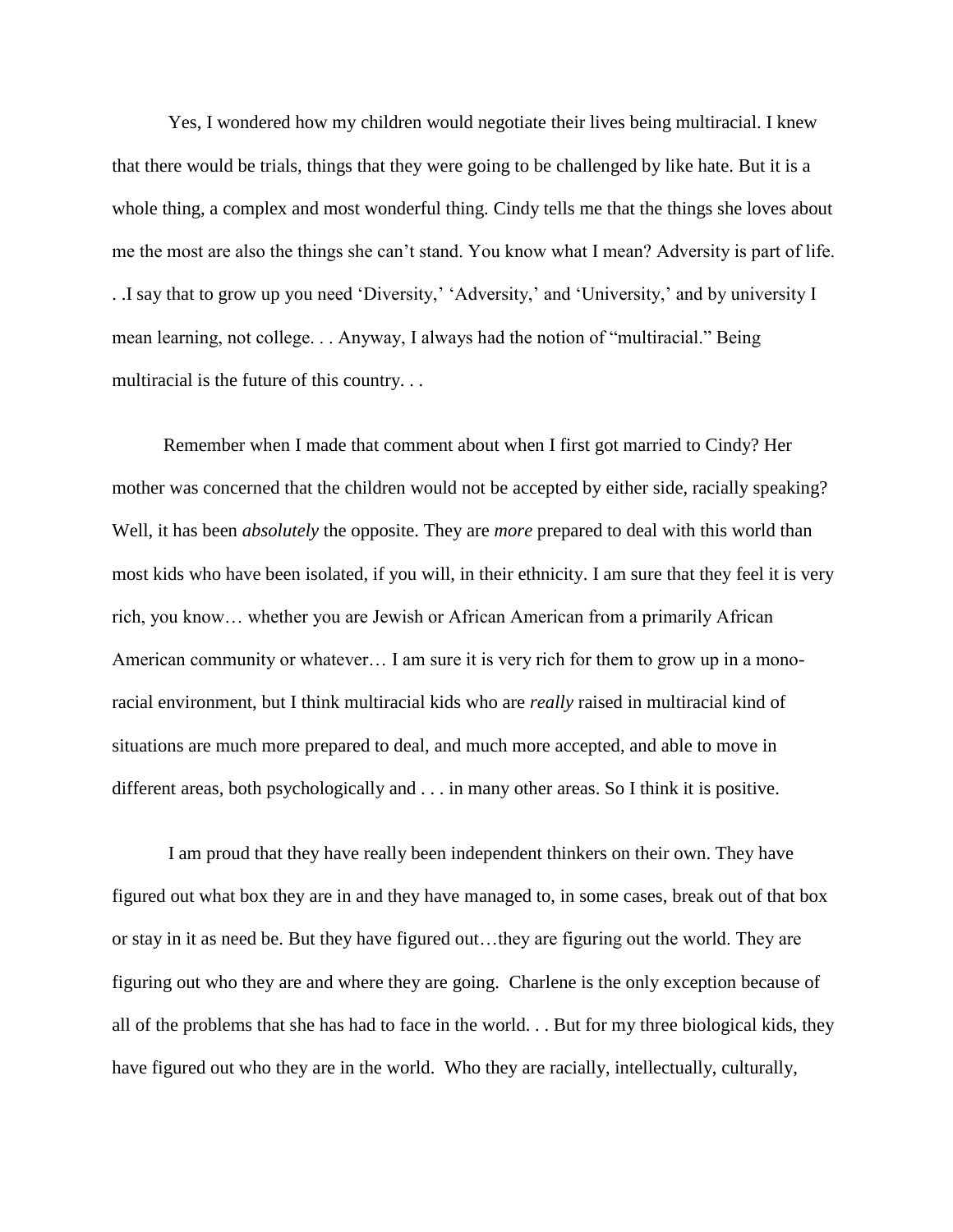Yes, I wondered how my children would negotiate their lives being multiracial. I knew that there would be trials, things that they were going to be challenged by like hate. But it is a whole thing, a complex and most wonderful thing. Cindy tells me that the things she loves about me the most are also the things she can't stand. You know what I mean? Adversity is part of life. . .I say that to grow up you need 'Diversity,' 'Adversity,' and 'University,' and by university I mean learning, not college. . . Anyway, I always had the notion of "multiracial." Being multiracial is the future of this country. . .

 Remember when I made that comment about when I first got married to Cindy? Her mother was concerned that the children would not be accepted by either side, racially speaking? Well, it has been *absolutely* the opposite. They are *more* prepared to deal with this world than most kids who have been isolated, if you will, in their ethnicity. I am sure that they feel it is very rich, you know… whether you are Jewish or African American from a primarily African American community or whatever… I am sure it is very rich for them to grow up in a monoracial environment, but I think multiracial kids who are *really* raised in multiracial kind of situations are much more prepared to deal, and much more accepted, and able to move in different areas, both psychologically and . . . in many other areas. So I think it is positive.

 I am proud that they have really been independent thinkers on their own. They have figured out what box they are in and they have managed to, in some cases, break out of that box or stay in it as need be. But they have figured out…they are figuring out the world. They are figuring out who they are and where they are going. Charlene is the only exception because of all of the problems that she has had to face in the world. . . But for my three biological kids, they have figured out who they are in the world. Who they are racially, intellectually, culturally,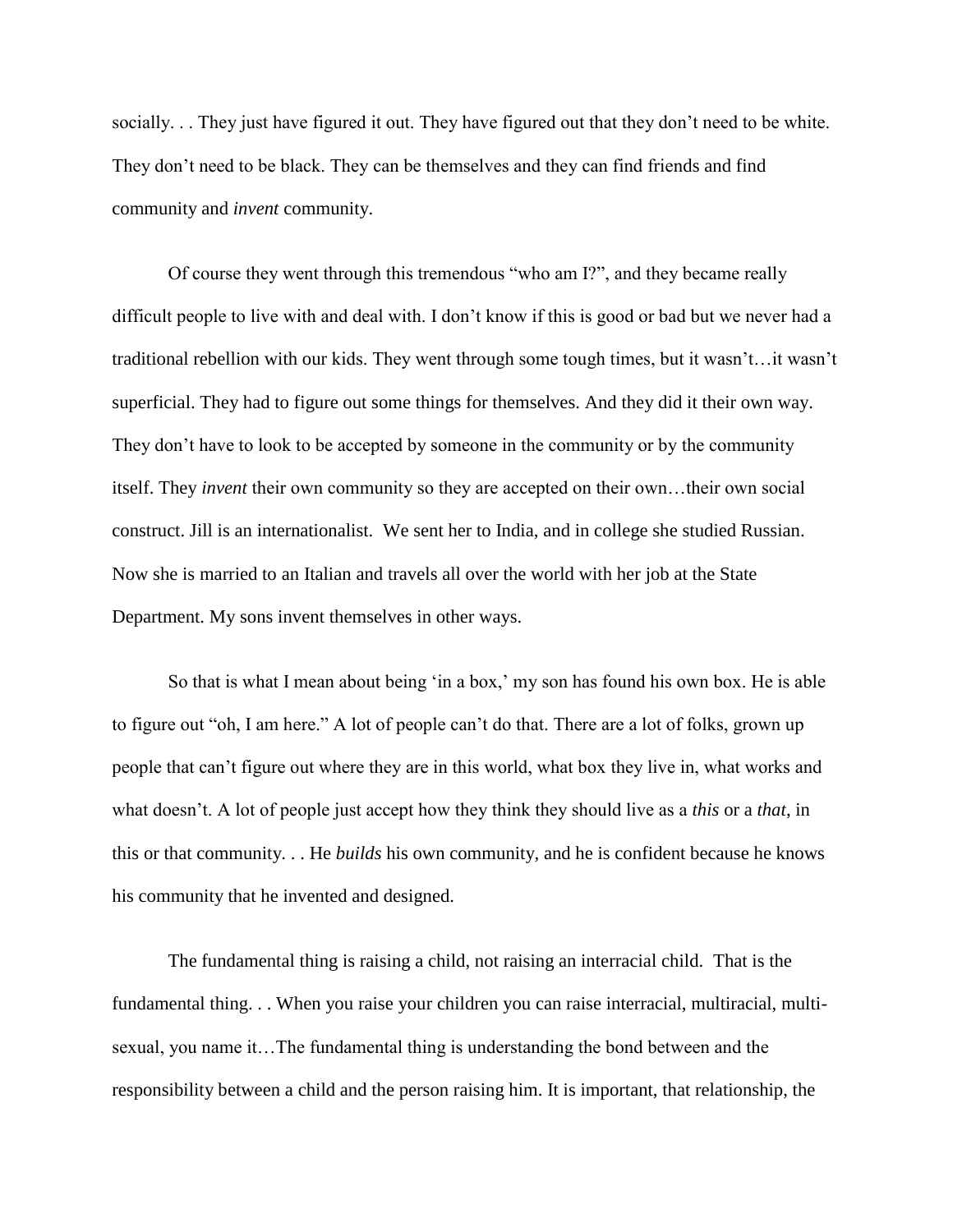socially. . . They just have figured it out. They have figured out that they don't need to be white. They don't need to be black. They can be themselves and they can find friends and find community and *invent* community.

Of course they went through this tremendous "who am I?", and they became really difficult people to live with and deal with. I don't know if this is good or bad but we never had a traditional rebellion with our kids. They went through some tough times, but it wasn't…it wasn't superficial. They had to figure out some things for themselves. And they did it their own way. They don't have to look to be accepted by someone in the community or by the community itself. They *invent* their own community so they are accepted on their own…their own social construct. Jill is an internationalist. We sent her to India, and in college she studied Russian. Now she is married to an Italian and travels all over the world with her job at the State Department. My sons invent themselves in other ways.

So that is what I mean about being 'in a box,' my son has found his own box. He is able to figure out "oh, I am here." A lot of people can't do that. There are a lot of folks, grown up people that can't figure out where they are in this world, what box they live in, what works and what doesn't. A lot of people just accept how they think they should live as a *this* or a *that*, in this or that community. . . He *builds* his own community, and he is confident because he knows his community that he invented and designed.

 The fundamental thing is raising a child, not raising an interracial child. That is the fundamental thing. . . When you raise your children you can raise interracial, multiracial, multisexual, you name it…The fundamental thing is understanding the bond between and the responsibility between a child and the person raising him. It is important, that relationship, the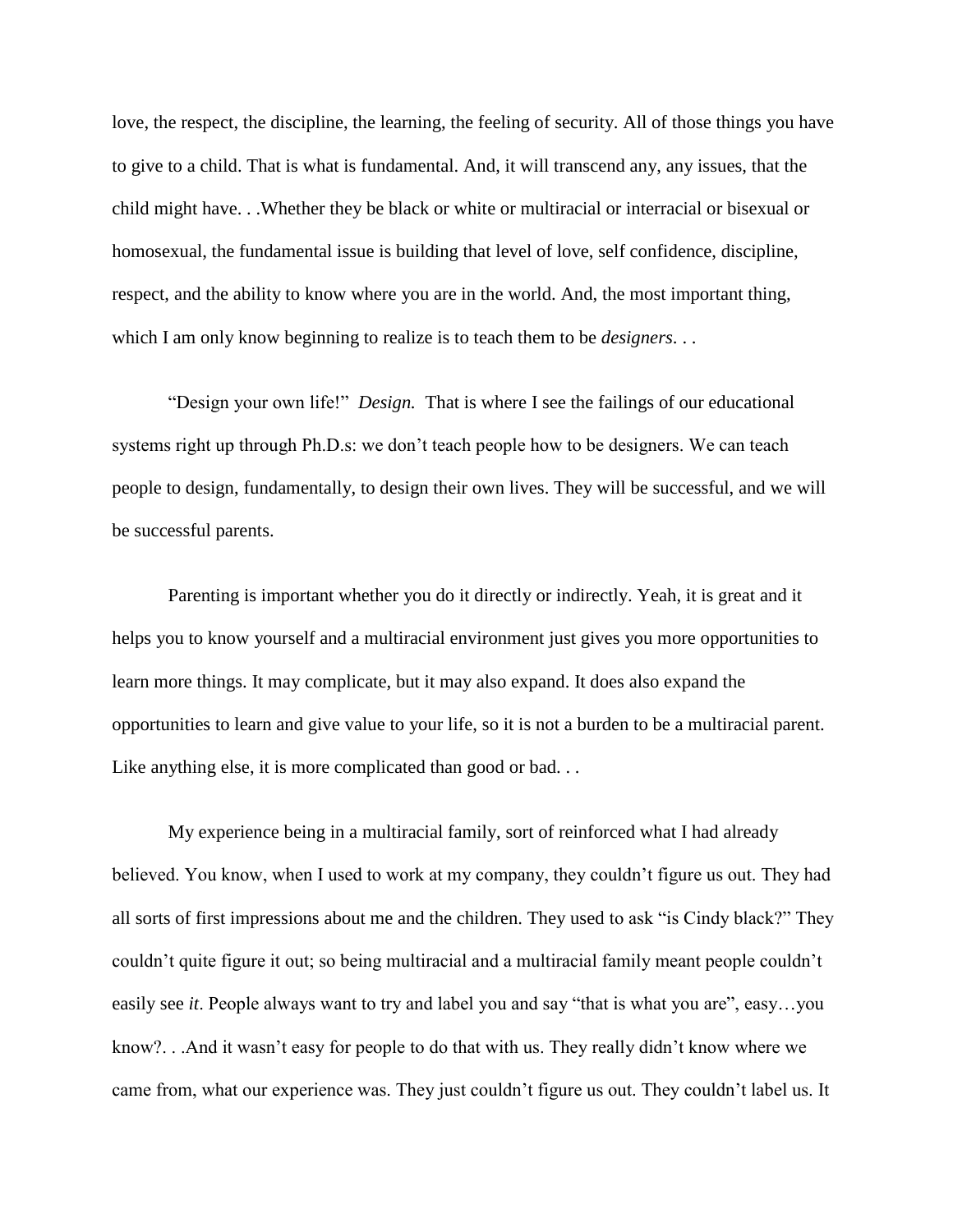love, the respect, the discipline, the learning, the feeling of security. All of those things you have to give to a child. That is what is fundamental. And, it will transcend any, any issues, that the child might have. . .Whether they be black or white or multiracial or interracial or bisexual or homosexual, the fundamental issue is building that level of love, self confidence, discipline, respect, and the ability to know where you are in the world. And, the most important thing, which I am only know beginning to realize is to teach them to be *designers*. . .

 "Design your own life!" *Design.* That is where I see the failings of our educational systems right up through Ph.D.s: we don't teach people how to be designers. We can teach people to design, fundamentally, to design their own lives. They will be successful, and we will be successful parents.

 Parenting is important whether you do it directly or indirectly. Yeah, it is great and it helps you to know yourself and a multiracial environment just gives you more opportunities to learn more things. It may complicate, but it may also expand. It does also expand the opportunities to learn and give value to your life, so it is not a burden to be a multiracial parent. Like anything else, it is more complicated than good or bad...

My experience being in a multiracial family, sort of reinforced what I had already believed. You know, when I used to work at my company, they couldn't figure us out. They had all sorts of first impressions about me and the children. They used to ask "is Cindy black?" They couldn't quite figure it out; so being multiracial and a multiracial family meant people couldn't easily see *it*. People always want to try and label you and say "that is what you are", easy…you know?. . .And it wasn't easy for people to do that with us. They really didn't know where we came from, what our experience was. They just couldn't figure us out. They couldn't label us. It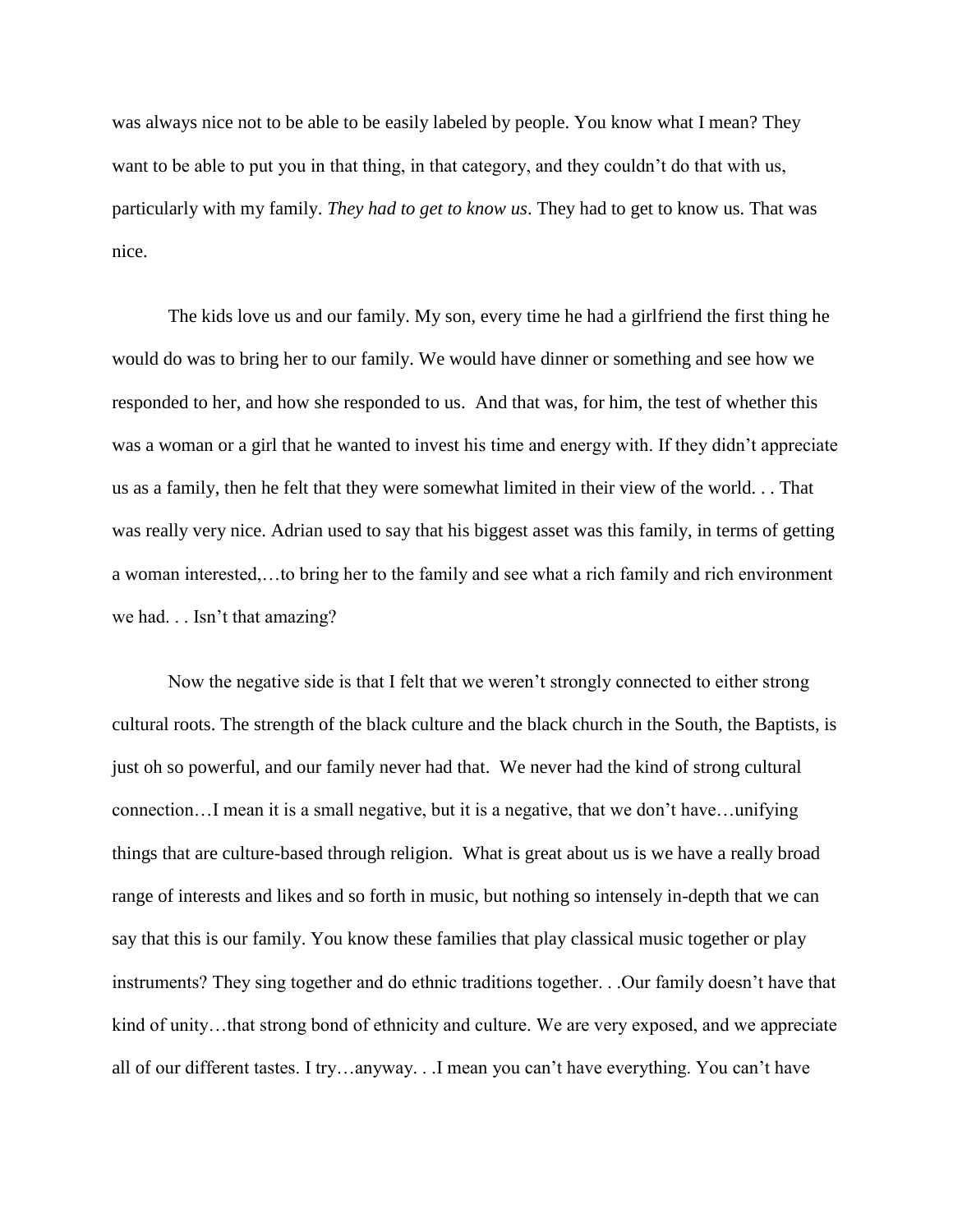was always nice not to be able to be easily labeled by people. You know what I mean? They want to be able to put you in that thing, in that category, and they couldn't do that with us, particularly with my family. *They had to get to know us*. They had to get to know us. That was nice.

The kids love us and our family. My son, every time he had a girlfriend the first thing he would do was to bring her to our family. We would have dinner or something and see how we responded to her, and how she responded to us. And that was, for him, the test of whether this was a woman or a girl that he wanted to invest his time and energy with. If they didn't appreciate us as a family, then he felt that they were somewhat limited in their view of the world. . . That was really very nice. Adrian used to say that his biggest asset was this family, in terms of getting a woman interested,…to bring her to the family and see what a rich family and rich environment we had. . . Isn't that amazing?

Now the negative side is that I felt that we weren't strongly connected to either strong cultural roots. The strength of the black culture and the black church in the South, the Baptists, is just oh so powerful, and our family never had that. We never had the kind of strong cultural connection…I mean it is a small negative, but it is a negative, that we don't have…unifying things that are culture-based through religion. What is great about us is we have a really broad range of interests and likes and so forth in music, but nothing so intensely in-depth that we can say that this is our family. You know these families that play classical music together or play instruments? They sing together and do ethnic traditions together. . .Our family doesn't have that kind of unity...that strong bond of ethnicity and culture. We are very exposed, and we appreciate all of our different tastes. I try…anyway. . .I mean you can't have everything. You can't have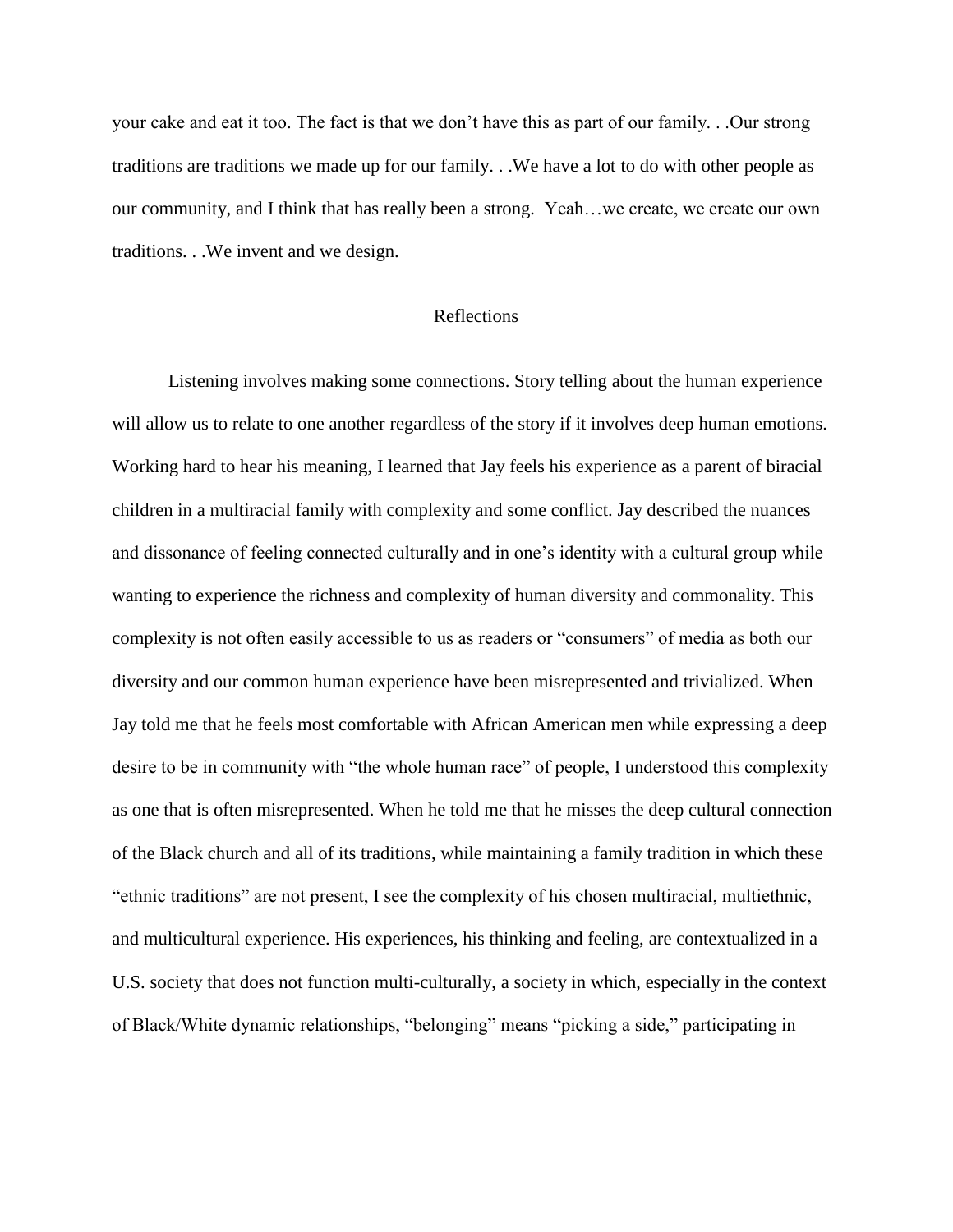your cake and eat it too. The fact is that we don't have this as part of our family. . .Our strong traditions are traditions we made up for our family. . .We have a lot to do with other people as our community, and I think that has really been a strong. Yeah…we create, we create our own traditions. . .We invent and we design.

#### Reflections

 Listening involves making some connections. Story telling about the human experience will allow us to relate to one another regardless of the story if it involves deep human emotions. Working hard to hear his meaning, I learned that Jay feels his experience as a parent of biracial children in a multiracial family with complexity and some conflict. Jay described the nuances and dissonance of feeling connected culturally and in one's identity with a cultural group while wanting to experience the richness and complexity of human diversity and commonality. This complexity is not often easily accessible to us as readers or "consumers" of media as both our diversity and our common human experience have been misrepresented and trivialized. When Jay told me that he feels most comfortable with African American men while expressing a deep desire to be in community with "the whole human race" of people, I understood this complexity as one that is often misrepresented. When he told me that he misses the deep cultural connection of the Black church and all of its traditions, while maintaining a family tradition in which these "ethnic traditions" are not present, I see the complexity of his chosen multiracial, multiethnic, and multicultural experience. His experiences, his thinking and feeling, are contextualized in a U.S. society that does not function multi-culturally, a society in which, especially in the context of Black/White dynamic relationships, "belonging" means "picking a side," participating in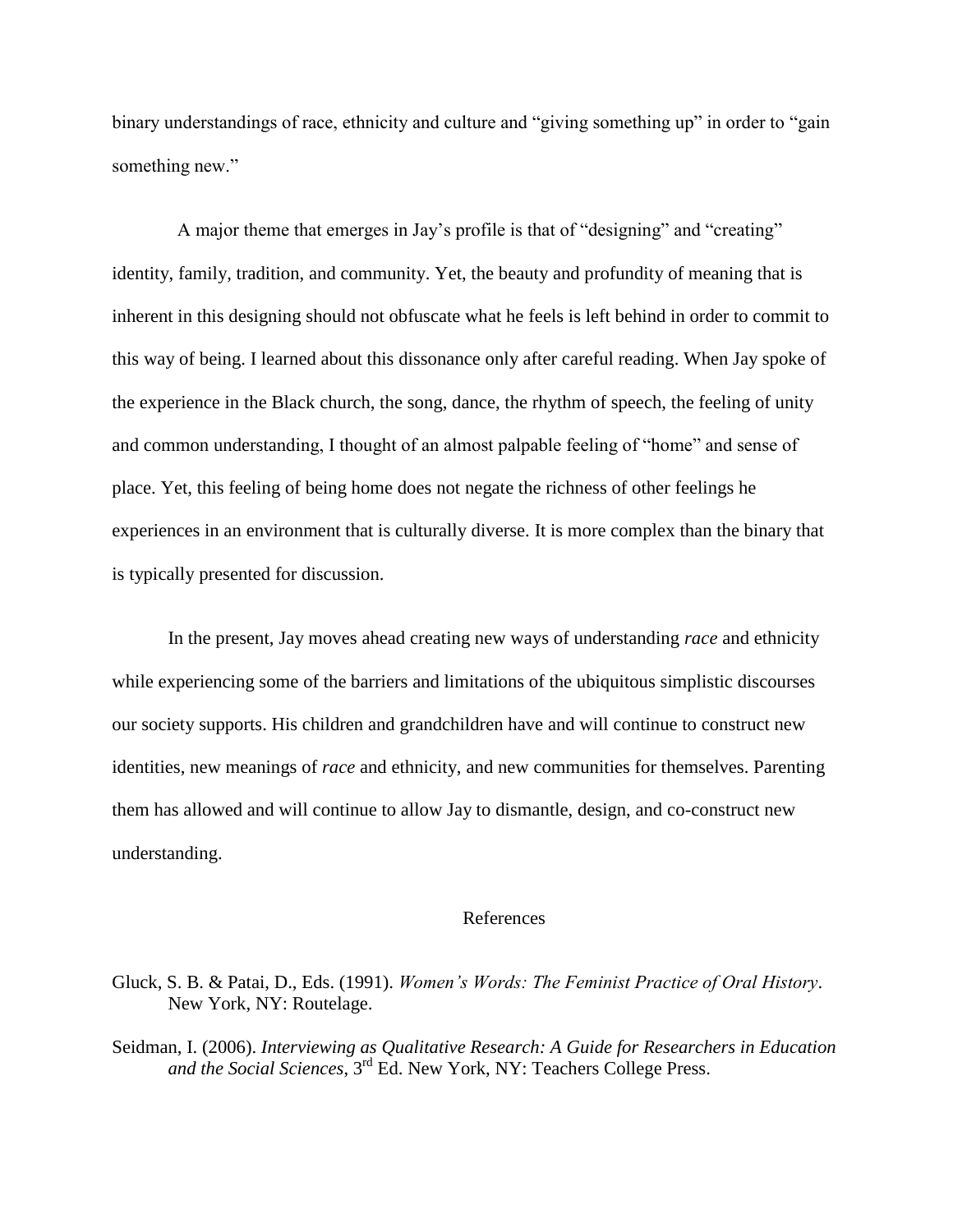binary understandings of race, ethnicity and culture and "giving something up" in order to "gain something new."

A major theme that emerges in Jay's profile is that of "designing" and "creating" identity, family, tradition, and community. Yet, the beauty and profundity of meaning that is inherent in this designing should not obfuscate what he feels is left behind in order to commit to this way of being. I learned about this dissonance only after careful reading. When Jay spoke of the experience in the Black church, the song, dance, the rhythm of speech, the feeling of unity and common understanding, I thought of an almost palpable feeling of "home" and sense of place. Yet, this feeling of being home does not negate the richness of other feelings he experiences in an environment that is culturally diverse. It is more complex than the binary that is typically presented for discussion.

In the present, Jay moves ahead creating new ways of understanding *race* and ethnicity while experiencing some of the barriers and limitations of the ubiquitous simplistic discourses our society supports. His children and grandchildren have and will continue to construct new identities, new meanings of *race* and ethnicity, and new communities for themselves. Parenting them has allowed and will continue to allow Jay to dismantle, design, and co-construct new understanding.

#### References

Seidman, I. (2006). *Interviewing as Qualitative Research: A Guide for Researchers in Education and the Social Sciences*, 3rd Ed. New York, NY: Teachers College Press.

Gluck, S. B. & Patai, D., Eds. (1991). *Women's Words: The Feminist Practice of Oral History*. New York, NY: Routelage.